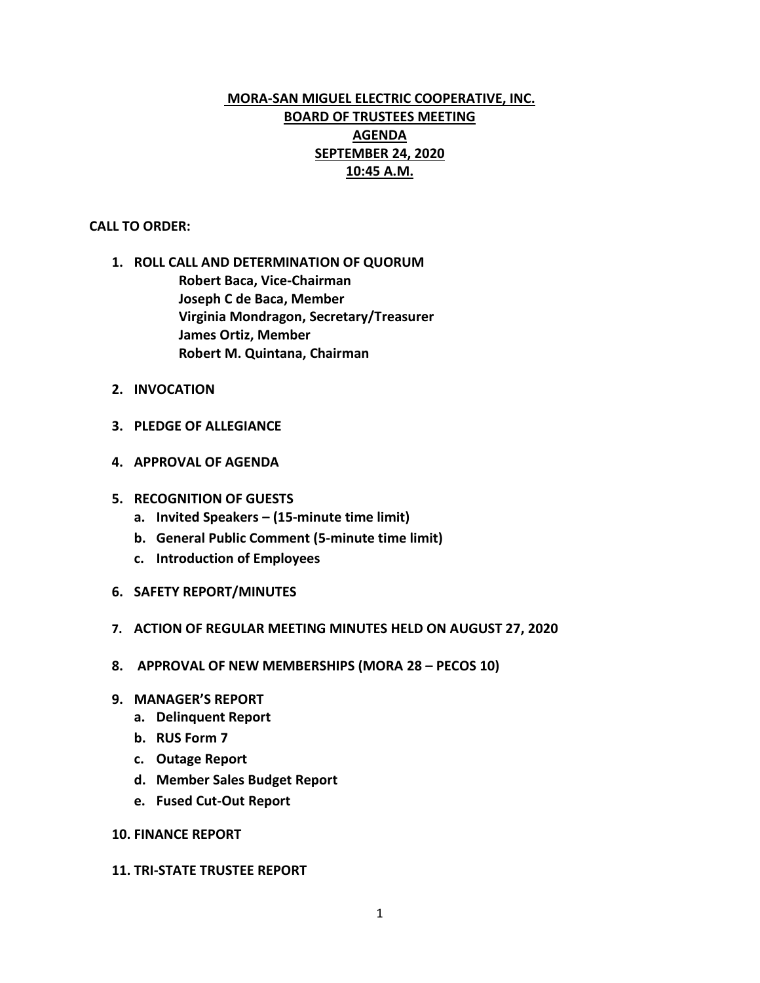# **MORA-SAN MIGUEL ELECTRIC COOPERATIVE, INC. BOARD OF TRUSTEES MEETING AGENDA SEPTEMBER 24, 2020 10:45 A.M.**

## **CALL TO ORDER:**

- **1. ROLL CALL AND DETERMINATION OF QUORUM Robert Baca, Vice-Chairman Joseph C de Baca, Member Virginia Mondragon, Secretary/Treasurer James Ortiz, Member Robert M. Quintana, Chairman**
- **2. INVOCATION**
- **3. PLEDGE OF ALLEGIANCE**
- **4. APPROVAL OF AGENDA**
- **5. RECOGNITION OF GUESTS**
	- **a. Invited Speakers – (15-minute time limit)**
	- **b. General Public Comment (5-minute time limit)**
	- **c. Introduction of Employees**
- **6. SAFETY REPORT/MINUTES**
- **7. ACTION OF REGULAR MEETING MINUTES HELD ON AUGUST 27, 2020**
- **8. APPROVAL OF NEW MEMBERSHIPS (MORA 28 – PECOS 10)**
- **9. MANAGER'S REPORT**
	- **a. Delinquent Report**
	- **b. RUS Form 7**
	- **c. Outage Report**
	- **d. Member Sales Budget Report**
	- **e. Fused Cut-Out Report**

## **10. FINANCE REPORT**

#### **11. TRI-STATE TRUSTEE REPORT**